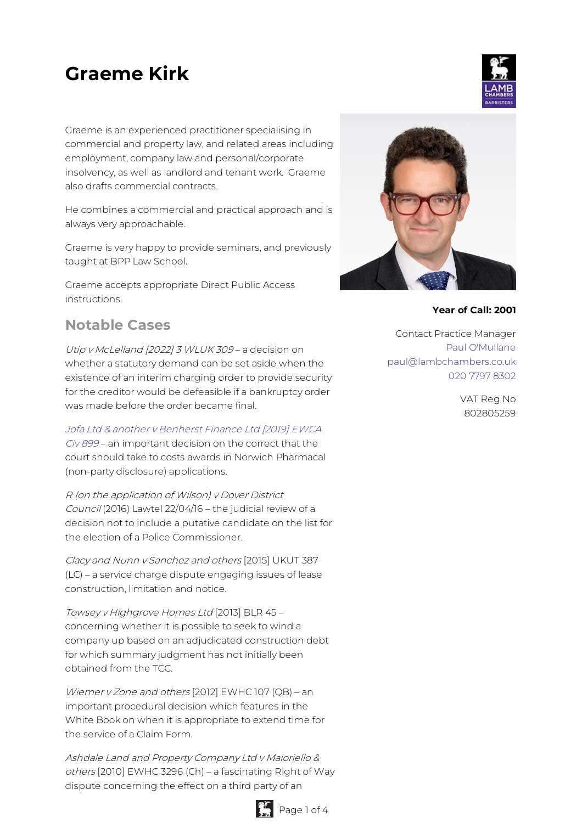# **Graeme Kirk**

Graeme is an experienced practitioner specialising in commercial and property law, and related areas including employment, company law and personal/corporate insolvency, as well as landlord and tenant work. Graeme also drafts commercial contracts.

He combines a commercial and practical approach and is always very approachable.

Graeme is very happy to provide seminars, and previously taught at BPP Law School.

Graeme accepts appropriate Direct Public Access instructions.

# **Notable Cases**

Utip <sup>v</sup> McLelland [2022] 3 WLUK 309 – a decision on whether a statutory demand can be set aside when the existence of an interim charging order to provide security for the creditor would be defeasible if a bankruptcy order was made before the order became final.

Jofa Ltd & another <sup>v</sup> Benherst Finance Ltd [2019] EWCA

Civ 899 – an [important](https://www.bailii.org/ew/cases/EWCA/Civ/2019/899.html) decision on the correct that the court should take to costs awards in Norwich Pharmacal (non-party disclosure) applications.

R (on the application of Wilson) <sup>v</sup> Dover District Council (2016) Lawtel 22/04/16 – the judicial review of a decision not to include a putative candidate on the list for the election of a Police Commissioner.

Clacy and Nunn <sup>v</sup> Sanchez and others [2015] UKUT 387 (LC) – a service charge dispute engaging issues of lease construction, limitation and notice.

Towsey <sup>v</sup> Highgrove Homes Ltd [2013] BLR 45 – concerning whether it is possible to seek to wind a company up based on an adjudicated construction debt for which summary judgment has not initially been obtained from the TCC.

Wiemer <sup>v</sup> Zone and others [2012] EWHC 107 (QB) – an important procedural decision which features in the White Book on when it is appropriate to extend time for the service of a Claim Form.

Ashdale Land and Property Company Ltd <sup>v</sup> Maioriello & others [2010] EWHC 3296 (Ch) – a fascinating Right of Way dispute concerning the effect on a third party of an





#### **Year of Call: 2001**

Contact Practice Manager Paul [O'Mullane](mailto:paul@lambchambers.co.uk) [paul@lambchambers.co.uk](mailto:paul@lambchambers.co.uk) 020 7797 [8302](tel:020%207797%208302)

> VAT Reg No 802805259

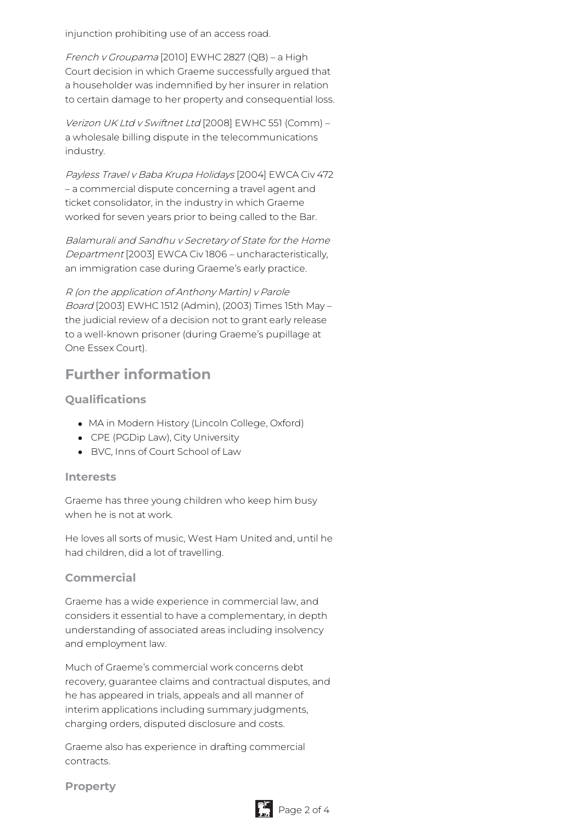injunction prohibiting use of an access road.

French <sup>v</sup> Groupama [2010] EWHC 2827 (QB) – a High Court decision in which Graeme successfully argued that a householder was indemnified by her insurer in relation to certain damage to her property and consequential loss.

Verizon UK Ltd <sup>v</sup> Swiftnet Ltd [2008] EWHC 551 (Comm) – a wholesale billing dispute in the telecommunications industry.

Payless Travel <sup>v</sup> Baba Krupa Holidays [2004] EWCA Civ 472 – a commercial dispute concerning a travel agent and ticket consolidator, in the industry in which Graeme worked for seven years prior to being called to the Bar.

Balamurali and Sandhu <sup>v</sup> Secretary of State for the Home Department [2003] EWCA Civ 1806 – uncharacteristically, an immigration case during Graeme's early practice.

R (on the application of Anthony Martin) <sup>v</sup> Parole Board [2003] EWHC 1512 (Admin), (2003) Times 15th May – the judicial review of a decision not to grant early release to a well-known prisoner (during Graeme's pupillage at One Essex Court).

# **Further information**

## **Qualifications**

- MA in Modern History (Lincoln College, Oxford)
- CPE (PGDip Law), City University
- BVC, Inns of Court School of Law

#### **Interests**

Graeme has three young children who keep him busy when he is not at work.

He loves all sorts of music, West Ham United and, until he had children, did a lot of travelling.

#### **Commercial**

Graeme has a wide experience in commercial law, and considers it essential to have a complementary, in depth understanding of associated areas including insolvency and employment law.

Much of Graeme's commercial work concerns debt recovery, guarantee claims and contractual disputes, and he has appeared in trials, appeals and all manner of interim applications including summary judgments, charging orders, disputed disclosure and costs.

Graeme also has experience in drafting commercial contracts.

#### **Property**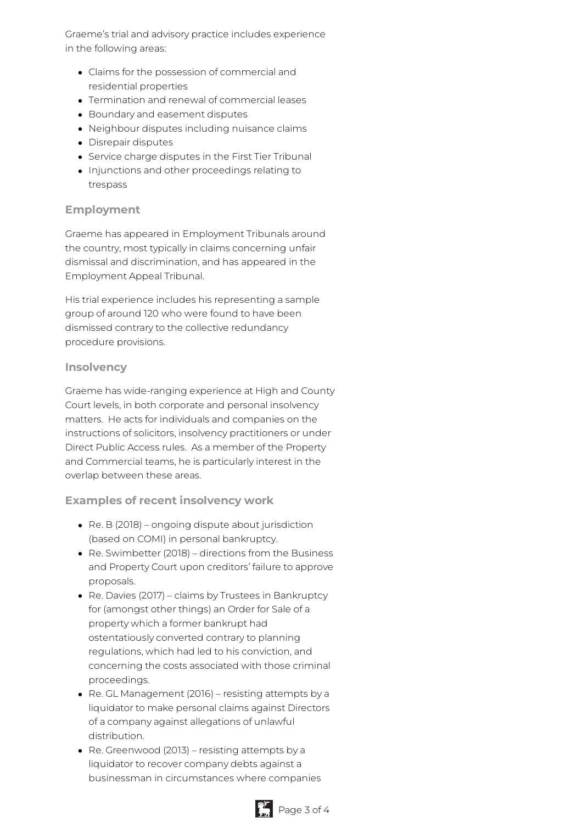Graeme's trial and advisory practice includes experience in the following areas:

- Claims for the possession of commercial and residential properties
- Termination and renewal of commercial leases
- Boundary and easement disputes
- Neighbour disputes including nuisance claims
- Disrepair disputes
- Service charge disputes in the First Tier Tribunal
- Injunctions and other proceedings relating to trespass

## **Employment**

Graeme has appeared in Employment Tribunals around the country, most typically in claims concerning unfair dismissal and discrimination, and has appeared in the Employment Appeal Tribunal.

His trial experience includes his representing a sample group of around 120 who were found to have been dismissed contrary to the collective redundancy procedure provisions.

#### **Insolvency**

Graeme has wide-ranging experience at High and County Court levels, in both corporate and personal insolvency matters. He acts for individuals and companies on the instructions of solicitors, insolvency practitioners or under Direct Public Access rules. As a member of the Property and Commercial teams, he is particularly interest in the overlap between these areas.

## **Examples of recent insolvency work**

- Re. B (2018) ongoing dispute about jurisdiction (based on COMI) in personal bankruptcy.
- Re. Swimbetter (2018) directions from the Business and Property Court upon creditors' failure to approve proposals.
- Re. Davies (2017) claims by Trustees in Bankruptcy for (amongst other things) an Order for Sale of a property which a former bankrupt had ostentatiously converted contrary to planning regulations, which had led to his conviction, and concerning the costs associated with those criminal proceedings.
- Re. GL Management (2016) resisting attempts by a liquidator to make personal claims against Directors of a company against allegations of unlawful distribution.
- Re. Greenwood (2013) resisting attempts by a liquidator to recover company debts against a businessman in circumstances where companies